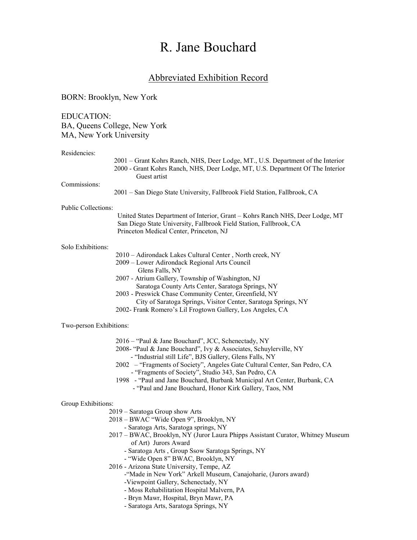# R. Jane Bouchard

## Abbreviated Exhibition Record

## BORN: Brooklyn, New York

EDUCATION: BA, Queens College, New York MA, New York University

#### Residencies:

|                            | 2001 - Grant Kohrs Ranch, NHS, Deer Lodge, MT., U.S. Department of the Interior<br>2000 - Grant Kohrs Ranch, NHS, Deer Lodge, MT, U.S. Department Of The Interior<br>Guest artist              |
|----------------------------|------------------------------------------------------------------------------------------------------------------------------------------------------------------------------------------------|
| Commissions:               | 2001 – San Diego State University, Fallbrook Field Station, Fallbrook, CA                                                                                                                      |
| <b>Public Collections:</b> |                                                                                                                                                                                                |
|                            | United States Department of Interior, Grant – Kohrs Ranch NHS, Deer Lodge, MT<br>San Diego State University, Fallbrook Field Station, Fallbrook, CA<br>Princeton Medical Center, Princeton, NJ |
| Solo Exhibitions:          |                                                                                                                                                                                                |
|                            | 2010 - Adirondack Lakes Cultural Center, North creek, NY                                                                                                                                       |
|                            | 2009 - Lower Adirondack Regional Arts Council<br>Glens Falls, NY                                                                                                                               |
|                            | 2007 - Atrium Gallery, Township of Washington, NJ                                                                                                                                              |
|                            | Saratoga County Arts Center, Saratoga Springs, NY                                                                                                                                              |
|                            | 2003 - Preswick Chase Community Center, Greenfield, NY                                                                                                                                         |
|                            | City of Saratoga Springs, Visitor Center, Saratoga Springs, NY                                                                                                                                 |
|                            | 2002- Frank Romero's Lil Frogtown Gallery, Los Angeles, CA                                                                                                                                     |
| Two-person Exhibitions:    |                                                                                                                                                                                                |
|                            | 2016 – "Paul & Jane Bouchard", JCC, Schenectady, NY                                                                                                                                            |

- 2008- "Paul & Jane Bouchard", Ivy & Associates, Schuylerville, NY
	- "Industrial still Life", BJS Gallery, Glens Falls, NY
- 2002 "Fragments of Society", Angeles Gate Cultural Center, San Pedro, CA - "Fragments of Society", Studio 343, San Pedro, CA
- 1998 "Paul and Jane Bouchard, Burbank Municipal Art Center, Burbank, CA
	- "Paul and Jane Bouchard, Honor Kirk Gallery, Taos, NM

### Group Exhibitions:

- 2019 Saratoga Group show Arts
- 2018 BWAC "Wide Open 9", Brooklyn, NY
- Saratoga Arts, Saratoga springs, NY
- 2017 BWAC, Brooklyn, NY (Juror Laura Phipps Assistant Curator, Whitney Museum of Art) Jurors Award
	- Saratoga Arts , Group Ssow Saratoga Springs, NY
	- "Wide Open 8" BWAC, Brooklyn, NY
- 2016 Arizona State University, Tempe, AZ
	- -"Made in New York" Arkell Museum, Canajoharie, (Jurors award)
	- -Viewpoint Gallery, Schenectady, NY
	- Moss Rehabilitation Hospital Malvern, PA
	- Bryn Mawr, Hospital, Bryn Mawr, PA
	- Saratoga Arts, Saratoga Springs, NY